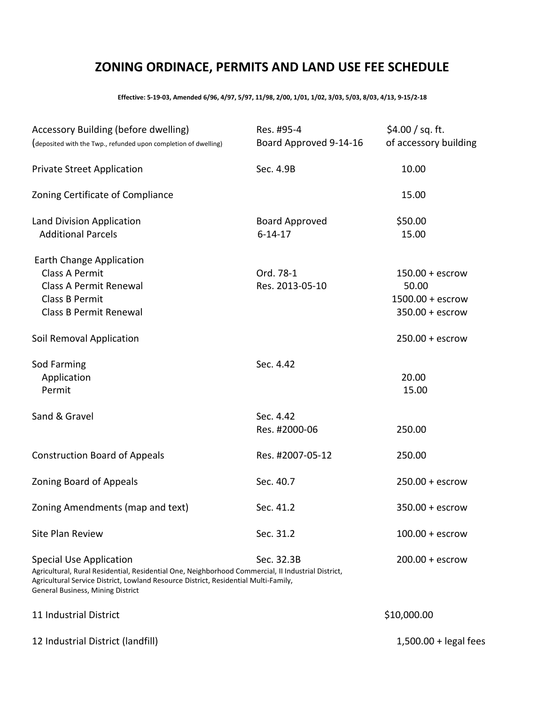## **ZONING ORDINACE, PERMITS AND LAND USE FEE SCHEDULE**

**Effective: 5-19-03, Amended 6/96, 4/97, 5/97, 11/98, 2/00, 1/01, 1/02, 3/03, 5/03, 8/03, 4/13, 9-15/2-18**

| Accessory Building (before dwelling)<br>(deposited with the Twp., refunded upon completion of dwelling)                                                                                                                                                          | Res. #95-4<br>Board Approved 9-14-16   | \$4.00 / sq. ft.<br>of accessory building                             |
|------------------------------------------------------------------------------------------------------------------------------------------------------------------------------------------------------------------------------------------------------------------|----------------------------------------|-----------------------------------------------------------------------|
| <b>Private Street Application</b>                                                                                                                                                                                                                                | Sec. 4.9B                              | 10.00                                                                 |
| Zoning Certificate of Compliance                                                                                                                                                                                                                                 |                                        | 15.00                                                                 |
| Land Division Application<br><b>Additional Parcels</b>                                                                                                                                                                                                           | <b>Board Approved</b><br>$6 - 14 - 17$ | \$50.00<br>15.00                                                      |
| Earth Change Application<br><b>Class A Permit</b><br><b>Class A Permit Renewal</b><br>Class B Permit<br><b>Class B Permit Renewal</b>                                                                                                                            | Ord. 78-1<br>Res. 2013-05-10           | $150.00 + escrow$<br>50.00<br>$1500.00 + escrow$<br>$350.00 + escrow$ |
| Soil Removal Application                                                                                                                                                                                                                                         |                                        | $250.00 + escrow$                                                     |
| Sod Farming<br>Application<br>Permit                                                                                                                                                                                                                             | Sec. 4.42                              | 20.00<br>15.00                                                        |
| Sand & Gravel                                                                                                                                                                                                                                                    | Sec. 4.42<br>Res. #2000-06             | 250.00                                                                |
| <b>Construction Board of Appeals</b>                                                                                                                                                                                                                             | Res. #2007-05-12                       | 250.00                                                                |
| <b>Zoning Board of Appeals</b>                                                                                                                                                                                                                                   | Sec. 40.7                              | $250.00 + escrow$                                                     |
| Zoning Amendments (map and text)                                                                                                                                                                                                                                 | Sec. 41.2                              | $350.00 + escrow$                                                     |
| <b>Site Plan Review</b>                                                                                                                                                                                                                                          | Sec. 31.2                              | $100.00 + escrow$                                                     |
| <b>Special Use Application</b><br>Agricultural, Rural Residential, Residential One, Neighborhood Commercial, II Industrial District,<br>Agricultural Service District, Lowland Resource District, Residential Multi-Family,<br>General Business, Mining District | Sec. 32.3B                             | $200.00 + escrow$                                                     |
| 11 Industrial District                                                                                                                                                                                                                                           |                                        | \$10,000.00                                                           |
| 12 Industrial District (landfill)                                                                                                                                                                                                                                |                                        | $1,500.00 +$ legal fees                                               |